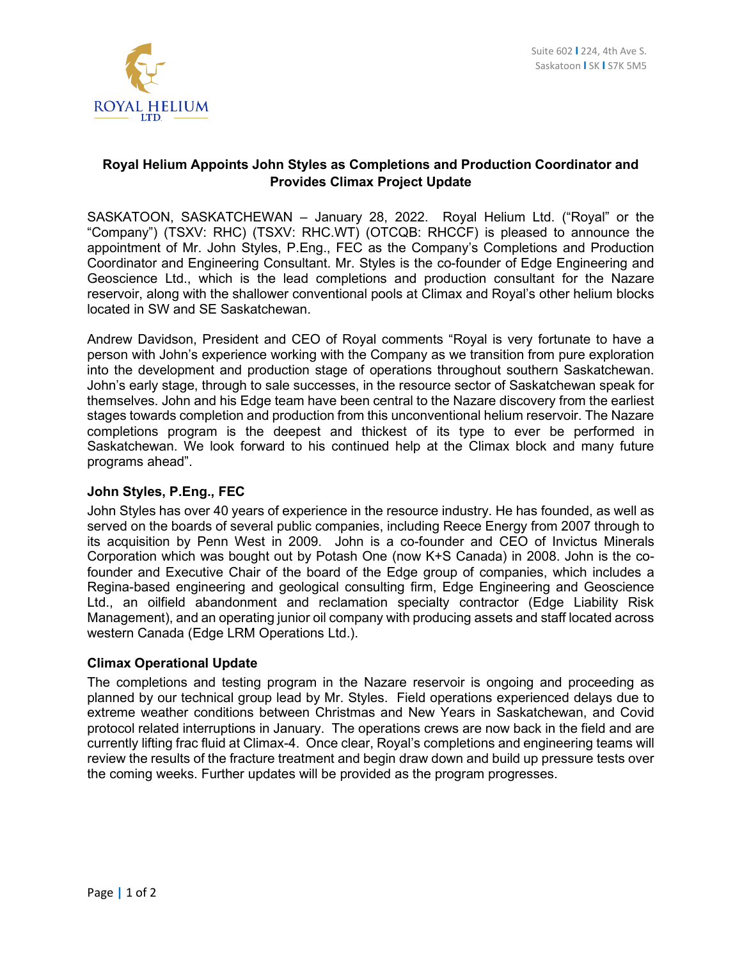

## **Royal Helium Appoints John Styles as Completions and Production Coordinator and Provides Climax Project Update**

SASKATOON, SASKATCHEWAN – January 28, 2022. Royal Helium Ltd. ("Royal" or the "Company") (TSXV: RHC) (TSXV: RHC.WT) (OTCQB: RHCCF) is pleased to announce the appointment of Mr. John Styles, P.Eng., FEC as the Company's Completions and Production Coordinator and Engineering Consultant. Mr. Styles is the co-founder of Edge Engineering and Geoscience Ltd., which is the lead completions and production consultant for the Nazare reservoir, along with the shallower conventional pools at Climax and Royal's other helium blocks located in SW and SE Saskatchewan.

Andrew Davidson, President and CEO of Royal comments "Royal is very fortunate to have a person with John's experience working with the Company as we transition from pure exploration into the development and production stage of operations throughout southern Saskatchewan. John's early stage, through to sale successes, in the resource sector of Saskatchewan speak for themselves. John and his Edge team have been central to the Nazare discovery from the earliest stages towards completion and production from this unconventional helium reservoir. The Nazare completions program is the deepest and thickest of its type to ever be performed in Saskatchewan. We look forward to his continued help at the Climax block and many future programs ahead".

## **John Styles, P.Eng., FEC**

John Styles has over 40 years of experience in the resource industry. He has founded, as well as served on the boards of several public companies, including Reece Energy from 2007 through to its acquisition by Penn West in 2009. John is a co-founder and CEO of Invictus Minerals Corporation which was bought out by Potash One (now K+S Canada) in 2008. John is the cofounder and Executive Chair of the board of the Edge group of companies, which includes a Regina-based engineering and geological consulting firm, Edge Engineering and Geoscience Ltd., an oilfield abandonment and reclamation specialty contractor (Edge Liability Risk Management), and an operating junior oil company with producing assets and staff located across western Canada (Edge LRM Operations Ltd.).

## **Climax Operational Update**

The completions and testing program in the Nazare reservoir is ongoing and proceeding as planned by our technical group lead by Mr. Styles. Field operations experienced delays due to extreme weather conditions between Christmas and New Years in Saskatchewan, and Covid protocol related interruptions in January. The operations crews are now back in the field and are currently lifting frac fluid at Climax-4. Once clear, Royal's completions and engineering teams will review the results of the fracture treatment and begin draw down and build up pressure tests over the coming weeks. Further updates will be provided as the program progresses.